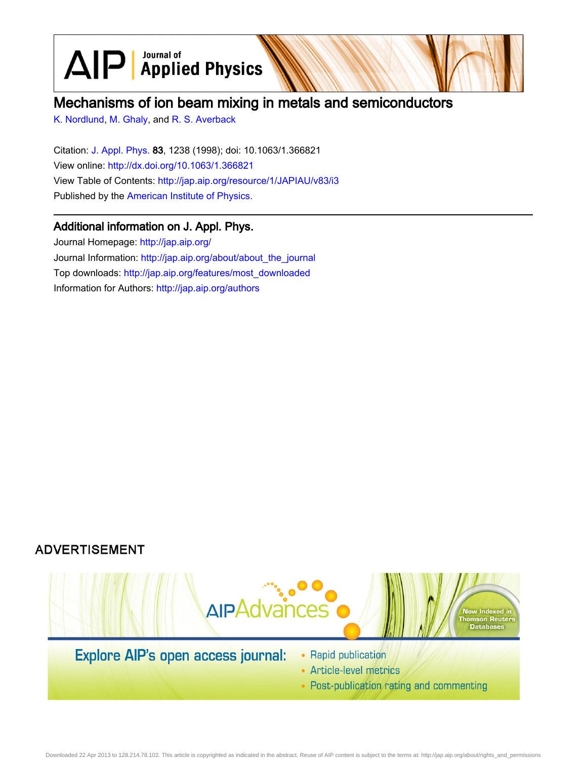$\text{AlP}$  Applied Physics

# Mechanisms of ion beam mixing in metals and semiconductors

[K. Nordlund,](http://jap.aip.org/search?sortby=newestdate&q=&searchzone=2&searchtype=searchin&faceted=faceted&key=AIP_ALL&possible1=K. Nordlund&possible1zone=author&alias=&displayid=AIP&ver=pdfcov) [M. Ghaly](http://jap.aip.org/search?sortby=newestdate&q=&searchzone=2&searchtype=searchin&faceted=faceted&key=AIP_ALL&possible1=M. Ghaly&possible1zone=author&alias=&displayid=AIP&ver=pdfcov), and [R. S. Averback](http://jap.aip.org/search?sortby=newestdate&q=&searchzone=2&searchtype=searchin&faceted=faceted&key=AIP_ALL&possible1=R. S. Averback&possible1zone=author&alias=&displayid=AIP&ver=pdfcov)

Citation: [J. Appl. Phys.](http://jap.aip.org/?ver=pdfcov) 83, 1238 (1998); doi: 10.1063/1.366821 View online: [http://dx.doi.org/10.1063/1.366821](http://link.aip.org/link/doi/10.1063/1.366821?ver=pdfcov) View Table of Contents: [http://jap.aip.org/resource/1/JAPIAU/v83/i3](http://jap.aip.org/resource/1/JAPIAU/v83/i3?ver=pdfcov) Published by the [American Institute of Physics.](http://www.aip.org/?ver=pdfcov)

# Additional information on J. Appl. Phys.

Journal Homepage: [http://jap.aip.org/](http://jap.aip.org/?ver=pdfcov) Journal Information: [http://jap.aip.org/about/about\\_the\\_journal](http://jap.aip.org/about/about_the_journal?ver=pdfcov) Top downloads: [http://jap.aip.org/features/most\\_downloaded](http://jap.aip.org/features/most_downloaded?ver=pdfcov) Information for Authors: [http://jap.aip.org/authors](http://jap.aip.org/authors?ver=pdfcov)

# **ADVERTISEMENT**



- Article-level metrics
- Post-publication rating and commenting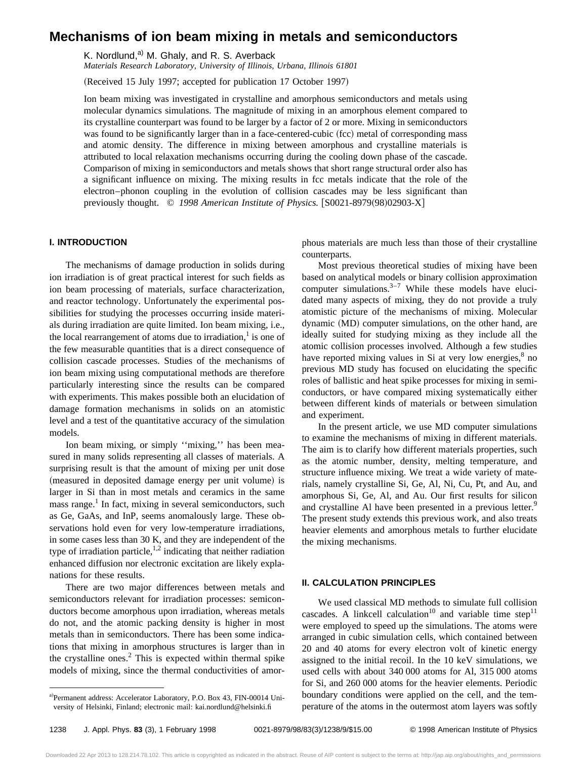# **Mechanisms of ion beam mixing in metals and semiconductors**

K. Nordlund,<sup>a)</sup> M. Ghaly, and R. S. Averback

*Materials Research Laboratory, University of Illinois, Urbana, Illinois 61801*

(Received 15 July 1997; accepted for publication 17 October 1997)

Ion beam mixing was investigated in crystalline and amorphous semiconductors and metals using molecular dynamics simulations. The magnitude of mixing in an amorphous element compared to its crystalline counterpart was found to be larger by a factor of 2 or more. Mixing in semiconductors was found to be significantly larger than in a face-centered-cubic (fcc) metal of corresponding mass and atomic density. The difference in mixing between amorphous and crystalline materials is attributed to local relaxation mechanisms occurring during the cooling down phase of the cascade. Comparison of mixing in semiconductors and metals shows that short range structural order also has a significant influence on mixing. The mixing results in fcc metals indicate that the role of the electron–phonon coupling in the evolution of collision cascades may be less significant than previously thought. © 1998 American Institute of Physics. [S0021-8979(98)02903-X]

## **I. INTRODUCTION**

The mechanisms of damage production in solids during ion irradiation is of great practical interest for such fields as ion beam processing of materials, surface characterization, and reactor technology. Unfortunately the experimental possibilities for studying the processes occurring inside materials during irradiation are quite limited. Ion beam mixing, i.e., the local rearrangement of atoms due to irradiation, $\frac{1}{1}$  is one of the few measurable quantities that is a direct consequence of collision cascade processes. Studies of the mechanisms of ion beam mixing using computational methods are therefore particularly interesting since the results can be compared with experiments. This makes possible both an elucidation of damage formation mechanisms in solids on an atomistic level and a test of the quantitative accuracy of the simulation models.

Ion beam mixing, or simply ''mixing,'' has been measured in many solids representing all classes of materials. A surprising result is that the amount of mixing per unit dose (measured in deposited damage energy per unit volume) is larger in Si than in most metals and ceramics in the same mass range. $<sup>1</sup>$  In fact, mixing in several semiconductors, such</sup> as Ge, GaAs, and InP, seems anomalously large. These observations hold even for very low-temperature irradiations, in some cases less than 30 K, and they are independent of the type of irradiation particle,<sup>1,2</sup> indicating that neither radiation enhanced diffusion nor electronic excitation are likely explanations for these results.

There are two major differences between metals and semiconductors relevant for irradiation processes: semiconductors become amorphous upon irradiation, whereas metals do not, and the atomic packing density is higher in most metals than in semiconductors. There has been some indications that mixing in amorphous structures is larger than in the crystalline ones. $2$  This is expected within thermal spike models of mixing, since the thermal conductivities of amorphous materials are much less than those of their crystalline counterparts.

Most previous theoretical studies of mixing have been based on analytical models or binary collision approximation computer simulations. $3-7$  While these models have elucidated many aspects of mixing, they do not provide a truly atomistic picture of the mechanisms of mixing. Molecular dynamic (MD) computer simulations, on the other hand, are ideally suited for studying mixing as they include all the atomic collision processes involved. Although a few studies have reported mixing values in Si at very low energies, $\delta$  no previous MD study has focused on elucidating the specific roles of ballistic and heat spike processes for mixing in semiconductors, or have compared mixing systematically either between different kinds of materials or between simulation and experiment.

In the present article, we use MD computer simulations to examine the mechanisms of mixing in different materials. The aim is to clarify how different materials properties, such as the atomic number, density, melting temperature, and structure influence mixing. We treat a wide variety of materials, namely crystalline Si, Ge, Al, Ni, Cu, Pt, and Au, and amorphous Si, Ge, Al, and Au. Our first results for silicon and crystalline Al have been presented in a previous letter.<sup>9</sup> The present study extends this previous work, and also treats heavier elements and amorphous metals to further elucidate the mixing mechanisms.

#### **II. CALCULATION PRINCIPLES**

We used classical MD methods to simulate full collision cascades. A linkcell calculation<sup>10</sup> and variable time step<sup>11</sup> were employed to speed up the simulations. The atoms were arranged in cubic simulation cells, which contained between 20 and 40 atoms for every electron volt of kinetic energy assigned to the initial recoil. In the 10 keV simulations, we used cells with about 340 000 atoms for Al, 315 000 atoms for Si, and 260 000 atoms for the heavier elements. Periodic boundary conditions were applied on the cell, and the temperature of the atoms in the outermost atom layers was softly

a)Permanent address: Accelerator Laboratory, P.O. Box 43, FIN-00014 University of Helsinki, Finland; electronic mail: kai.nordlund@helsinki.fi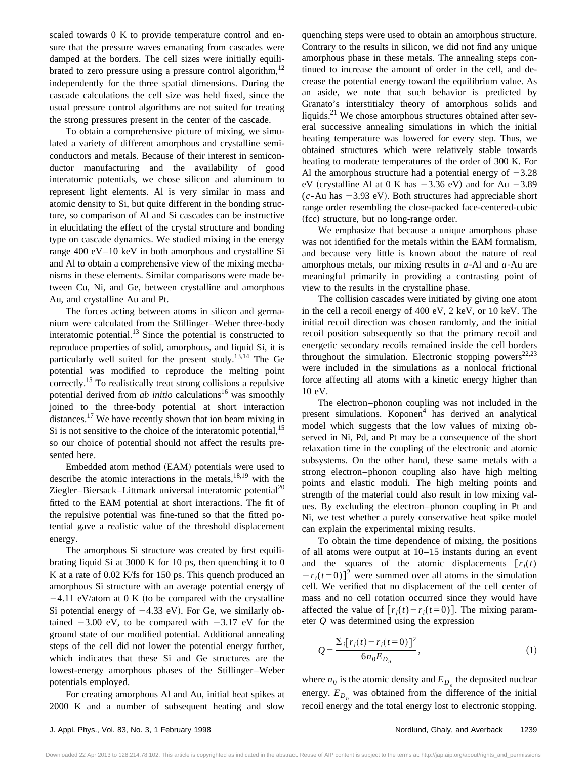scaled towards 0 K to provide temperature control and ensure that the pressure waves emanating from cascades were damped at the borders. The cell sizes were initially equilibrated to zero pressure using a pressure control algorithm,  $12$ independently for the three spatial dimensions. During the cascade calculations the cell size was held fixed, since the usual pressure control algorithms are not suited for treating the strong pressures present in the center of the cascade.

To obtain a comprehensive picture of mixing, we simulated a variety of different amorphous and crystalline semiconductors and metals. Because of their interest in semiconductor manufacturing and the availability of good interatomic potentials, we chose silicon and aluminum to represent light elements. Al is very similar in mass and atomic density to Si, but quite different in the bonding structure, so comparison of Al and Si cascades can be instructive in elucidating the effect of the crystal structure and bonding type on cascade dynamics. We studied mixing in the energy range 400 eV–10 keV in both amorphous and crystalline Si and Al to obtain a comprehensive view of the mixing mechanisms in these elements. Similar comparisons were made between Cu, Ni, and Ge, between crystalline and amorphous Au, and crystalline Au and Pt.

The forces acting between atoms in silicon and germanium were calculated from the Stillinger–Weber three-body interatomic potential. $13$  Since the potential is constructed to reproduce properties of solid, amorphous, and liquid Si, it is particularly well suited for the present study.13,14 The Ge potential was modified to reproduce the melting point correctly.<sup>15</sup> To realistically treat strong collisions a repulsive potential derived from  $ab$  *initio* calculations<sup>16</sup> was smoothly joined to the three-body potential at short interaction distances.<sup>17</sup> We have recently shown that ion beam mixing in Si is not sensitive to the choice of the interatomic potential,  $15$ so our choice of potential should not affect the results presented here.

Embedded atom method (EAM) potentials were used to describe the atomic interactions in the metals, $18,19$  with the Ziegler–Biersack–Littmark universal interatomic potential<sup>20</sup> fitted to the EAM potential at short interactions. The fit of the repulsive potential was fine-tuned so that the fitted potential gave a realistic value of the threshold displacement energy.

The amorphous Si structure was created by first equilibrating liquid Si at 3000 K for 10 ps, then quenching it to 0 K at a rate of 0.02 K/fs for 150 ps. This quench produced an amorphous Si structure with an average potential energy of  $-4.11$  eV/atom at 0 K (to be compared with the crystalline Si potential energy of  $-4.33$  eV). For Ge, we similarly obtained  $-3.00$  eV, to be compared with  $-3.17$  eV for the ground state of our modified potential. Additional annealing steps of the cell did not lower the potential energy further, which indicates that these Si and Ge structures are the lowest-energy amorphous phases of the Stillinger–Weber potentials employed.

For creating amorphous Al and Au, initial heat spikes at 2000 K and a number of subsequent heating and slow quenching steps were used to obtain an amorphous structure. Contrary to the results in silicon, we did not find any unique amorphous phase in these metals. The annealing steps continued to increase the amount of order in the cell, and decrease the potential energy toward the equilibrium value. As an aside, we note that such behavior is predicted by Granato's interstitialcy theory of amorphous solids and liquids. $21$  We chose amorphous structures obtained after several successive annealing simulations in which the initial heating temperature was lowered for every step. Thus, we obtained structures which were relatively stable towards heating to moderate temperatures of the order of 300 K. For Al the amorphous structure had a potential energy of  $-3.28$ eV (crystalline Al at 0 K has  $-3.36$  eV) and for Au  $-3.89$  $(c<sub>-</sub>Au has -3.93 eV)$ . Both structures had appreciable short range order resembling the close-packed face-centered-cubic  $f(cc)$  structure, but no long-range order.

We emphasize that because a unique amorphous phase was not identified for the metals within the EAM formalism, and because very little is known about the nature of real amorphous metals, our mixing results in *a*-Al and *a*-Au are meaningful primarily in providing a contrasting point of view to the results in the crystalline phase.

The collision cascades were initiated by giving one atom in the cell a recoil energy of 400 eV, 2 keV, or 10 keV. The initial recoil direction was chosen randomly, and the initial recoil position subsequently so that the primary recoil and energetic secondary recoils remained inside the cell borders throughout the simulation. Electronic stopping powers<sup>22,23</sup> were included in the simulations as a nonlocal frictional force affecting all atoms with a kinetic energy higher than 10 eV.

The electron–phonon coupling was not included in the present simulations. Koponen<sup>4</sup> has derived an analytical model which suggests that the low values of mixing observed in Ni, Pd, and Pt may be a consequence of the short relaxation time in the coupling of the electronic and atomic subsystems. On the other hand, these same metals with a strong electron–phonon coupling also have high melting points and elastic moduli. The high melting points and strength of the material could also result in low mixing values. By excluding the electron–phonon coupling in Pt and Ni, we test whether a purely conservative heat spike model can explain the experimental mixing results.

To obtain the time dependence of mixing, the positions of all atoms were output at 10–15 instants during an event and the squares of the atomic displacements  $[r_i(t)]$  $-r_i(t=0)$ <sup>2</sup> were summed over all atoms in the simulation cell. We verified that no displacement of the cell center of mass and no cell rotation occurred since they would have affected the value of  $[r_i(t)-r_i(t=0)]$ . The mixing parameter *Q* was determined using the expression

$$
Q = \frac{\sum_{i} [r_i(t) - r_i(t=0)]^2}{6n_0 E_{D_n}},
$$
\n(1)

where  $n_0$  is the atomic density and  $E_{D_n}$  the deposited nuclear energy.  $E_{D_n}$  was obtained from the difference of the initial recoil energy and the total energy lost to electronic stopping.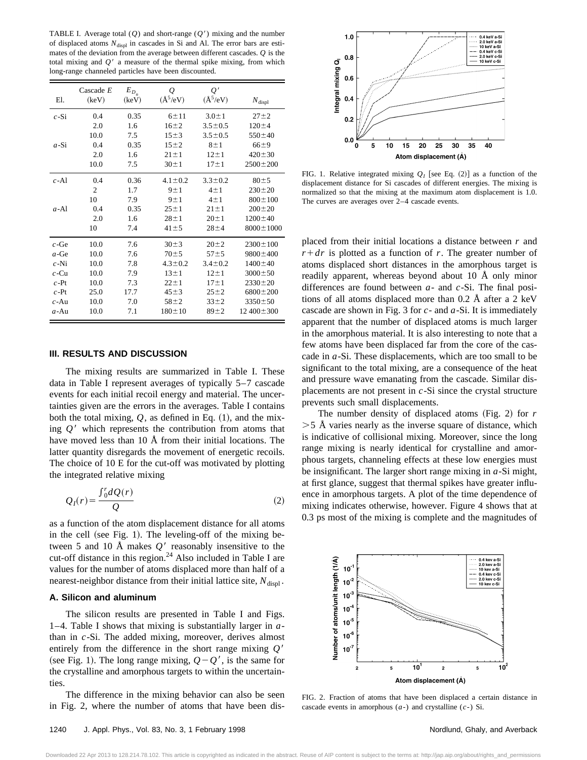TABLE I. Average total  $(Q)$  and short-range  $(Q')$  mixing and the number of displaced atoms  $N_{\text{displ}}$  in cascades in Si and Al. The error bars are estimates of the deviation from the average between different cascades. *Q* is the total mixing and  $Q'$  a measure of the thermal spike mixing, from which long-range channeled particles have been discounted.

| El.     | Cascade $E$<br>(keV) | $\boldsymbol{E}_{D_n}$<br>(keV) | Q<br>$(\AA^5/eV)$ | $\mathcal{Q}^{\,\prime}$<br>$(\AA^5/eV)$ | $N_{\mathrm{displ}}$ |
|---------|----------------------|---------------------------------|-------------------|------------------------------------------|----------------------|
| $c-Si$  | 0.4                  | 0.35                            | 6±11              | $3.0 \pm 1$                              | $27 + 2$             |
|         | 2.0                  | 1.6                             | $16+2$            | $3.5 \pm 0.5$                            | $120 \pm 4$          |
|         | 10.0                 | 7.5                             | $15 \pm 3$        | $3.5 \pm 0.5$                            | $550 \pm 40$         |
| $a-Si$  | 0.4                  | 0.35                            | $15 + 2$          | $8 \pm 1$                                | $66+9$               |
|         | 2.0                  | 1.6                             | $21 \pm 1$        | $12 \pm 1$                               | $420 \pm 30$         |
|         | 10.0                 | 7.5                             | $30 \pm 1$        | $17 \pm 1$                               | $2500 \pm 200$       |
| $c-A1$  | 0.4                  | 0.36                            | $4.1 \pm 0.2$     | $3.3 \pm 0.2$                            | $80 + 5$             |
|         | $\overline{2}$       | 1.7                             | $9 \pm 1$         | $4 \pm 1$                                | $230 \pm 20$         |
|         | 10                   | 7.9                             | $9 \pm 1$         | $4 \pm 1$                                | $800 \pm 100$        |
| $a-A1$  | 0.4                  | 0.35                            | $25 \pm 1$        | $21 \pm 1$                               | $200 \pm 20$         |
|         | 2.0                  | 1.6                             | $28 + 1$          | $20 \pm 1$                               | $1200 \pm 40$        |
|         | 10                   | 7.4                             | $41 \pm 5$        | $28 + 4$                                 | $8000 \pm 1000$      |
| $c$ -Ge | 10.0                 | 7.6                             | $30 \pm 3$        | $20 \pm 2$                               | $2300 \pm 100$       |
| $a$ -Ge | 10.0                 | 7.6                             | $70 + 5$          | $57 + 5$                                 | $9800 \pm 400$       |
| $c-Ni$  | 10.0                 | 7.8                             | $4.3 \pm 0.2$     | $3.4 \pm 0.2$                            | $1400 \pm 40$        |
| $c$ -Cu | 10.0                 | 7.9                             | $13 \pm 1$        | $12 \pm 1$                               | $3000 \pm 50$        |
| $c-Pt$  | 10.0                 | 7.3                             | $22 \pm 1$        | $17 \pm 1$                               | $2330 \pm 20$        |
| $c-Pt$  | 25.0                 | 17.7                            | $45 \pm 3$        | $25 + 2$                                 | $6800 \pm 200$       |
| $c$ -Au | 10.0                 | 7.0                             | $58 + 2$          | $33 + 2$                                 | $3350 \pm 50$        |
| $a$ -Au | 10.0                 | 7.1                             | $180 \pm 10$      | $89 + 2$                                 | $12.400 \pm 300$     |

### **III. RESULTS AND DISCUSSION**

The mixing results are summarized in Table I. These data in Table I represent averages of typically 5–7 cascade events for each initial recoil energy and material. The uncertainties given are the errors in the averages. Table I contains both the total mixing,  $Q$ , as defined in Eq.  $(1)$ , and the mixing  $O<sup>1</sup>$  which represents the contribution from atoms that have moved less than 10 Å from their initial locations. The latter quantity disregards the movement of energetic recoils. The choice of 10 E for the cut-off was motivated by plotting the integrated relative mixing

$$
Q_I(r) = \frac{\int_0^r dQ(r)}{Q} \tag{2}
$$

as a function of the atom displacement distance for all atoms in the cell (see Fig. 1). The leveling-off of the mixing between 5 and 10  $\AA$  makes  $Q'$  reasonably insensitive to the cut-off distance in this region.<sup>24</sup> Also included in Table I are values for the number of atoms displaced more than half of a nearest-neighbor distance from their initial lattice site,  $N_{\text{displ}}$ .

#### **A. Silicon and aluminum**

The silicon results are presented in Table I and Figs. 1–4. Table I shows that mixing is substantially larger in *a*than in *c*-Si. The added mixing, moreover, derives almost entirely from the difference in the short range mixing  $Q'$ (see Fig. 1). The long range mixing,  $Q - Q'$ , is the same for the crystalline and amorphous targets to within the uncertainties.

The difference in the mixing behavior can also be seen in Fig. 2, where the number of atoms that have been dis-



FIG. 1. Relative integrated mixing  $Q_I$  [see Eq. (2)] as a function of the displacement distance for Si cascades of different energies. The mixing is normalized so that the mixing at the maximum atom displacement is 1.0. The curves are averages over 2–4 cascade events.

placed from their initial locations a distance between *r* and  $r + dr$  is plotted as a function of *r*. The greater number of atoms displaced short distances in the amorphous target is readily apparent, whereas beyond about 10 Å only minor differences are found between *a*- and *c*-Si. The final positions of all atoms displaced more than 0.2 Å after a 2 keV cascade are shown in Fig. 3 for *c*- and *a*-Si. It is immediately apparent that the number of displaced atoms is much larger in the amorphous material. It is also interesting to note that a few atoms have been displaced far from the core of the cascade in *a*-Si. These displacements, which are too small to be significant to the total mixing, are a consequence of the heat and pressure wave emanating from the cascade. Similar displacements are not present in *c*-Si since the crystal structure prevents such small displacements.

The number density of displaced atoms  $(Fig. 2)$  for  $r$  $>$  5 Å varies nearly as the inverse square of distance, which is indicative of collisional mixing. Moreover, since the long range mixing is nearly identical for crystalline and amorphous targets, channeling effects at these low energies must be insignificant. The larger short range mixing in *a*-Si might, at first glance, suggest that thermal spikes have greater influence in amorphous targets. A plot of the time dependence of mixing indicates otherwise, however. Figure 4 shows that at 0.3 ps most of the mixing is complete and the magnitudes of



FIG. 2. Fraction of atoms that have been displaced a certain distance in cascade events in amorphous (*a*-) and crystalline (*c*-) Si.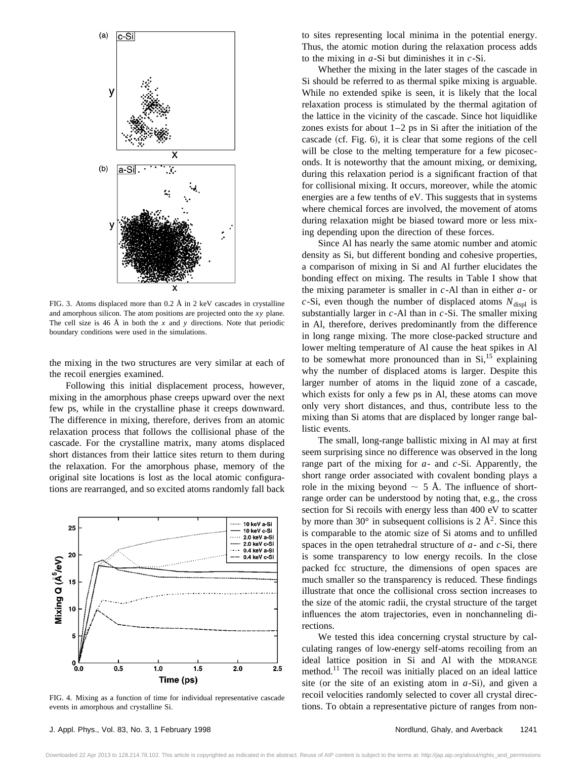

FIG. 3. Atoms displaced more than 0.2 Å in 2 keV cascades in crystalline and amorphous silicon. The atom positions are projected onto the *xy* plane. The cell size is 46 Å in both the *x* and *y* directions. Note that periodic boundary conditions were used in the simulations.

the mixing in the two structures are very similar at each of the recoil energies examined.

Following this initial displacement process, however, mixing in the amorphous phase creeps upward over the next few ps, while in the crystalline phase it creeps downward. The difference in mixing, therefore, derives from an atomic relaxation process that follows the collisional phase of the cascade. For the crystalline matrix, many atoms displaced short distances from their lattice sites return to them during the relaxation. For the amorphous phase, memory of the original site locations is lost as the local atomic configurations are rearranged, and so excited atoms randomly fall back



FIG. 4. Mixing as a function of time for individual representative cascade events in amorphous and crystalline Si.

to sites representing local minima in the potential energy. Thus, the atomic motion during the relaxation process adds to the mixing in *a*-Si but diminishes it in *c*-Si.

Whether the mixing in the later stages of the cascade in Si should be referred to as thermal spike mixing is arguable. While no extended spike is seen, it is likely that the local relaxation process is stimulated by the thermal agitation of the lattice in the vicinity of the cascade. Since hot liquidlike zones exists for about  $1-2$  ps in Si after the initiation of the cascade  $(cf. Fig. 6)$ , it is clear that some regions of the cell will be close to the melting temperature for a few picoseconds. It is noteworthy that the amount mixing, or demixing, during this relaxation period is a significant fraction of that for collisional mixing. It occurs, moreover, while the atomic energies are a few tenths of eV. This suggests that in systems where chemical forces are involved, the movement of atoms during relaxation might be biased toward more or less mixing depending upon the direction of these forces.

Since Al has nearly the same atomic number and atomic density as Si, but different bonding and cohesive properties, a comparison of mixing in Si and Al further elucidates the bonding effect on mixing. The results in Table I show that the mixing parameter is smaller in *c*-Al than in either *a*- or *c*-Si, even though the number of displaced atoms  $N_{\text{displ}}$  is substantially larger in *c*-Al than in *c*-Si. The smaller mixing in Al, therefore, derives predominantly from the difference in long range mixing. The more close-packed structure and lower melting temperature of Al cause the heat spikes in Al to be somewhat more pronounced than in  $Si<sub>15</sub>$  explaining why the number of displaced atoms is larger. Despite this larger number of atoms in the liquid zone of a cascade, which exists for only a few ps in Al, these atoms can move only very short distances, and thus, contribute less to the mixing than Si atoms that are displaced by longer range ballistic events.

The small, long-range ballistic mixing in Al may at first seem surprising since no difference was observed in the long range part of the mixing for *a*- and *c*-Si. Apparently, the short range order associated with covalent bonding plays a role in the mixing beyond  $\sim$  5 Å. The influence of shortrange order can be understood by noting that, e.g., the cross section for Si recoils with energy less than 400 eV to scatter by more than 30 $^{\circ}$  in subsequent collisions is 2  $\AA$ <sup>2</sup>. Since this is comparable to the atomic size of Si atoms and to unfilled spaces in the open tetrahedral structure of *a*- and *c*-Si, there is some transparency to low energy recoils. In the close packed fcc structure, the dimensions of open spaces are much smaller so the transparency is reduced. These findings illustrate that once the collisional cross section increases to the size of the atomic radii, the crystal structure of the target influences the atom trajectories, even in nonchanneling directions.

We tested this idea concerning crystal structure by calculating ranges of low-energy self-atoms recoiling from an ideal lattice position in Si and Al with the MDRANGE method.<sup>11</sup> The recoil was initially placed on an ideal lattice site (or the site of an existing atom in  $a-Si$ ), and given a recoil velocities randomly selected to cover all crystal directions. To obtain a representative picture of ranges from non-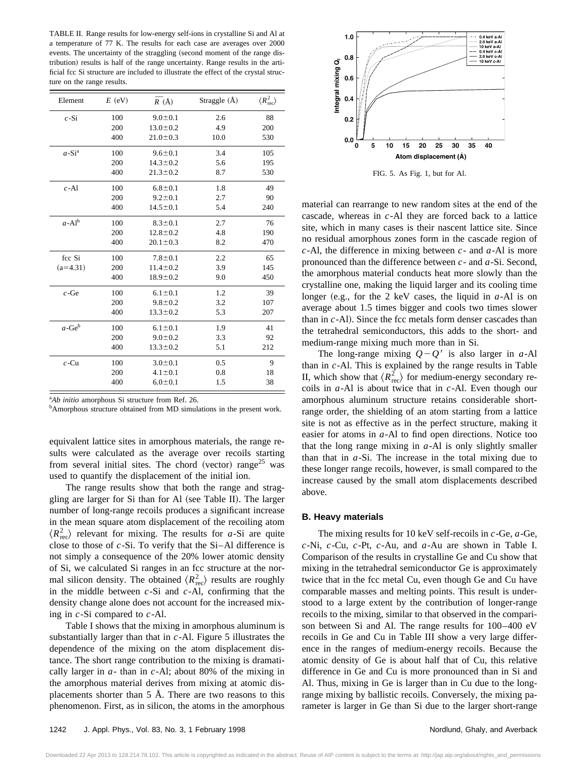TABLE II. Range results for low-energy self-ions in crystalline Si and Al at a temperature of 77 K. The results for each case are averages over 2000 events. The uncertainty of the straggling (second moment of the range distribution) results is half of the range uncertainty. Range results in the artificial fcc Si structure are included to illustrate the effect of the crystal structure on the range results.

| Element            | $E$ (eV) | $\overline{R}$ (Å) | Straggle $(A)$ | $\langle R_{\rm rec}^2 \rangle$ |
|--------------------|----------|--------------------|----------------|---------------------------------|
| $c-Si$             | 100      | $9.0 \pm 0.1$      | 2.6            | 88                              |
|                    | 200      | $13.0 \pm 0.2$     | 4.9            | 200                             |
|                    | 400      | $21.0 \pm 0.3$     | 10.0           | 530                             |
| $a-Si^a$           | 100      | $9.6 \pm 0.1$      | 3.4            | 105                             |
|                    | 200      | $14.3 \pm 0.2$     | 5.6            | 195                             |
|                    | 400      | $21.3 \pm 0.2$     | 8.7            | 530                             |
| $c-A1$             | 100      | $6.8 \pm 0.1$      | 1.8            | 49                              |
|                    | 200      | $9.2 \pm 0.1$      | 2.7            | 90                              |
|                    | 400      | $14.5 \pm 0.1$     | 5.4            | 240                             |
| $a-A1^b$           | 100      | $8.3 \pm 0.1$      | 2.7            | 76                              |
|                    | 200      | $12.8 \pm 0.2$     | 4.8            | 190                             |
|                    | 400      | $20.1 \pm 0.3$     | 8.2            | 470                             |
| fcc Si             | 100      | $7.8 \pm 0.1$      | 2.2            | 65                              |
| $(a=4.31)$         | 200      | $11.4 \pm 0.2$     | 3.9            | 145                             |
|                    | 400      | $18.9 \pm 0.2$     | 9.0            | 450                             |
| $c$ -Ge            | 100      | $6.1 \pm 0.1$      | 1.2            | 39                              |
|                    | 200      | $9.8 \pm 0.2$      | 3.2            | 107                             |
|                    | 400      | $13.3 \pm 0.2$     | 5.3            | 207                             |
| $a$ -Ge $^{\rm b}$ | 100      | $6.1 \pm 0.1$      | 1.9            | 41                              |
|                    | 200      | $9.0 \pm 0.2$      | 3.3            | 92                              |
|                    | 400      | $13.3 \pm 0.2$     | 5.1            | 212                             |
| $c$ -Cu            | 100      | $3.0 \pm 0.1$      | 0.5            | 9                               |
|                    | 200      | $4.1 \pm 0.1$      | 0.8            | 18                              |
|                    | 400      | $6.0 \pm 0.1$      | 1.5            | 38                              |

a *Ab initio* amorphous Si structure from Ref. 26.

<sup>b</sup>Amorphous structure obtained from MD simulations in the present work.

equivalent lattice sites in amorphous materials, the range results were calculated as the average over recoils starting from several initial sites. The chord (vector) range<sup>25</sup> was used to quantify the displacement of the initial ion.

The range results show that both the range and straggling are larger for Si than for Al (see Table II). The larger number of long-range recoils produces a significant increase in the mean square atom displacement of the recoiling atom  $\langle R_{\text{rec}}^2 \rangle$  relevant for mixing. The results for *a*-Si are quite close to those of *c*-Si. To verify that the Si–Al difference is not simply a consequence of the 20% lower atomic density of Si, we calculated Si ranges in an fcc structure at the normal silicon density. The obtained  $\langle R_{\text{rec}}^2 \rangle$  results are roughly in the middle between *c*-Si and *c*-Al, confirming that the density change alone does not account for the increased mixing in *c*-Si compared to *c*-Al.

Table I shows that the mixing in amorphous aluminum is substantially larger than that in *c*-Al. Figure 5 illustrates the dependence of the mixing on the atom displacement distance. The short range contribution to the mixing is dramatically larger in *a*- than in *c*-Al; about 80% of the mixing in the amorphous material derives from mixing at atomic displacements shorter than 5 Å. There are two reasons to this phenomenon. First, as in silicon, the atoms in the amorphous



FIG. 5. As Fig. 1, but for Al.

material can rearrange to new random sites at the end of the cascade, whereas in *c*-Al they are forced back to a lattice site, which in many cases is their nascent lattice site. Since no residual amorphous zones form in the cascade region of *c*-Al, the difference in mixing between *c*- and *a*-Al is more pronounced than the difference between *c*- and *a*-Si. Second, the amorphous material conducts heat more slowly than the crystalline one, making the liquid larger and its cooling time longer (e.g., for the 2 keV cases, the liquid in  $a$ -Al is on average about 1.5 times bigger and cools two times slower than in *c*-Al). Since the fcc metals form denser cascades than the tetrahedral semiconductors, this adds to the short- and medium-range mixing much more than in Si.

The long-range mixing  $Q-Q'$  is also larger in *a*-Al than in *c*-Al. This is explained by the range results in Table II, which show that  $\langle R_{\text{rec}}^2 \rangle$  for medium-energy secondary recoils in *a*-Al is about twice that in *c*-Al. Even though our amorphous aluminum structure retains considerable shortrange order, the shielding of an atom starting from a lattice site is not as effective as in the perfect structure, making it easier for atoms in *a*-Al to find open directions. Notice too that the long range mixing in *a*-Al is only slightly smaller than that in *a*-Si. The increase in the total mixing due to these longer range recoils, however, is small compared to the increase caused by the small atom displacements described above.

#### **B. Heavy materials**

The mixing results for 10 keV self-recoils in *c*-Ge, *a*-Ge, *c*-Ni, *c*-Cu, *c*-Pt, *c*-Au, and *a*-Au are shown in Table I. Comparison of the results in crystalline Ge and Cu show that mixing in the tetrahedral semiconductor Ge is approximately twice that in the fcc metal Cu, even though Ge and Cu have comparable masses and melting points. This result is understood to a large extent by the contribution of longer-range recoils to the mixing, similar to that observed in the comparison between Si and Al. The range results for 100–400 eV recoils in Ge and Cu in Table III show a very large difference in the ranges of medium-energy recoils. Because the atomic density of Ge is about half that of Cu, this relative difference in Ge and Cu is more pronounced than in Si and Al. Thus, mixing in Ge is larger than in Cu due to the longrange mixing by ballistic recoils. Conversely, the mixing parameter is larger in Ge than Si due to the larger short-range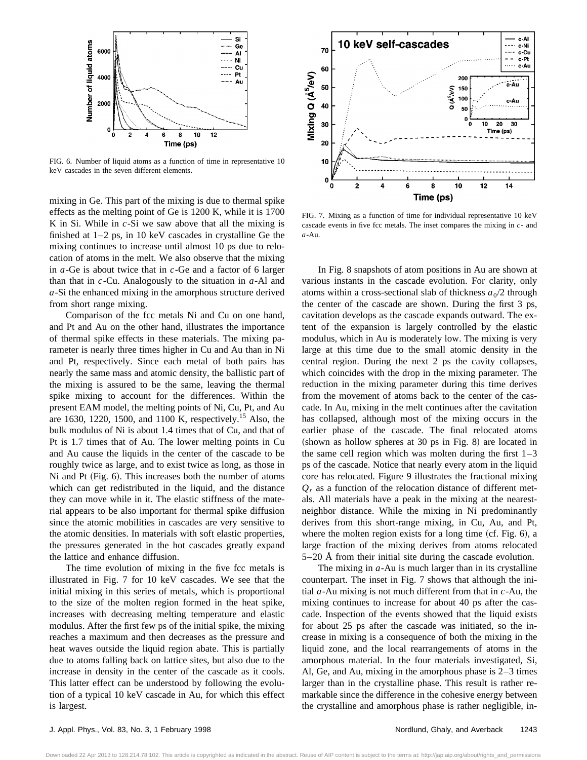

FIG. 6. Number of liquid atoms as a function of time in representative 10 keV cascades in the seven different elements.

mixing in Ge. This part of the mixing is due to thermal spike effects as the melting point of Ge is 1200 K, while it is 1700 K in Si. While in *c*-Si we saw above that all the mixing is finished at  $1-2$  ps, in 10 keV cascades in crystalline Ge the mixing continues to increase until almost 10 ps due to relocation of atoms in the melt. We also observe that the mixing in *a*-Ge is about twice that in *c*-Ge and a factor of 6 larger than that in *c*-Cu. Analogously to the situation in *a*-Al and *a*-Si the enhanced mixing in the amorphous structure derived from short range mixing.

Comparison of the fcc metals Ni and Cu on one hand, and Pt and Au on the other hand, illustrates the importance of thermal spike effects in these materials. The mixing parameter is nearly three times higher in Cu and Au than in Ni and Pt, respectively. Since each metal of both pairs has nearly the same mass and atomic density, the ballistic part of the mixing is assured to be the same, leaving the thermal spike mixing to account for the differences. Within the present EAM model, the melting points of Ni, Cu, Pt, and Au are 1630, 1220, 1500, and 1100 K, respectively.<sup>15</sup> Also, the bulk modulus of Ni is about 1.4 times that of Cu, and that of Pt is 1.7 times that of Au. The lower melting points in Cu and Au cause the liquids in the center of the cascade to be roughly twice as large, and to exist twice as long, as those in  $Ni$  and Pt (Fig. 6). This increases both the number of atoms which can get redistributed in the liquid, and the distance they can move while in it. The elastic stiffness of the material appears to be also important for thermal spike diffusion since the atomic mobilities in cascades are very sensitive to the atomic densities. In materials with soft elastic properties, the pressures generated in the hot cascades greatly expand the lattice and enhance diffusion.

The time evolution of mixing in the five fcc metals is illustrated in Fig. 7 for 10 keV cascades. We see that the initial mixing in this series of metals, which is proportional to the size of the molten region formed in the heat spike, increases with decreasing melting temperature and elastic modulus. After the first few ps of the initial spike, the mixing reaches a maximum and then decreases as the pressure and heat waves outside the liquid region abate. This is partially due to atoms falling back on lattice sites, but also due to the increase in density in the center of the cascade as it cools. This latter effect can be understood by following the evolution of a typical 10 keV cascade in Au, for which this effect is largest.



FIG. 7. Mixing as a function of time for individual representative 10 keV cascade events in five fcc metals. The inset compares the mixing in *c*- and *a*-Au.

In Fig. 8 snapshots of atom positions in Au are shown at various instants in the cascade evolution. For clarity, only atoms within a cross-sectional slab of thickness  $a_0/2$  through the center of the cascade are shown. During the first 3 ps, cavitation develops as the cascade expands outward. The extent of the expansion is largely controlled by the elastic modulus, which in Au is moderately low. The mixing is very large at this time due to the small atomic density in the central region. During the next 2 ps the cavity collapses, which coincides with the drop in the mixing parameter. The reduction in the mixing parameter during this time derives from the movement of atoms back to the center of the cascade. In Au, mixing in the melt continues after the cavitation has collapsed, although most of the mixing occurs in the earlier phase of the cascade. The final relocated atoms  $(s$ hown as hollow spheres at 30 ps in Fig. 8) are located in the same cell region which was molten during the first  $1-3$ ps of the cascade. Notice that nearly every atom in the liquid core has relocated. Figure 9 illustrates the fractional mixing  $Q<sub>r</sub>$  as a function of the relocation distance of different metals. All materials have a peak in the mixing at the nearestneighbor distance. While the mixing in Ni predominantly derives from this short-range mixing, in Cu, Au, and Pt, where the molten region exists for a long time  $(cf. Fig. 6)$ , a large fraction of the mixing derives from atoms relocated 5–20 Å from their initial site during the cascade evolution.

The mixing in *a*-Au is much larger than in its crystalline counterpart. The inset in Fig. 7 shows that although the initial *a*-Au mixing is not much different from that in *c*-Au, the mixing continues to increase for about 40 ps after the cascade. Inspection of the events showed that the liquid exists for about 25 ps after the cascade was initiated, so the increase in mixing is a consequence of both the mixing in the liquid zone, and the local rearrangements of atoms in the amorphous material. In the four materials investigated, Si, Al, Ge, and Au, mixing in the amorphous phase is 2–3 times larger than in the crystalline phase. This result is rather remarkable since the difference in the cohesive energy between the crystalline and amorphous phase is rather negligible, in-

Downloaded 22 Apr 2013 to 128.214.78.102. This article is copyrighted as indicated in the abstract. Reuse of AIP content is subject to the terms at: http://jap.aip.org/about/rights\_and\_permissions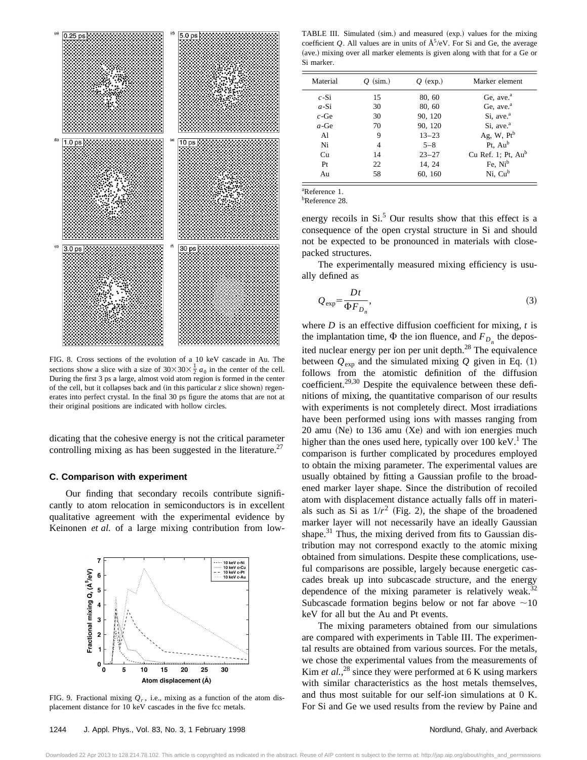

FIG. 8. Cross sections of the evolution of a 10 keV cascade in Au. The sections show a slice with a size of  $30\times30\times\frac{1}{2} a_0$  in the center of the cell. During the first 3 ps a large, almost void atom region is formed in the center of the cell, but it collapses back and (in this particular  $z$  slice shown) regenerates into perfect crystal. In the final 30 ps figure the atoms that are not at their original positions are indicated with hollow circles.

dicating that the cohesive energy is not the critical parameter controlling mixing as has been suggested in the literature.<sup>27</sup>

#### **C. Comparison with experiment**

Our finding that secondary recoils contribute significantly to atom relocation in semiconductors is in excellent qualitative agreement with the experimental evidence by Keinonen *et al.* of a large mixing contribution from low-



FIG. 9. Fractional mixing  $Q_r$ , i.e., mixing as a function of the atom displacement distance for 10 keV cascades in the five fcc metals.

TABLE III. Simulated (sim.) and measured (exp.) values for the mixing coefficient *Q*. All values are in units of  $\AA^5$ /eV. For Si and Ge, the average (ave.) mixing over all marker elements is given along with that for a Ge or Si marker.

| Material | $O$ (sim.) | $Q$ (exp.) | Marker element        |
|----------|------------|------------|-----------------------|
| $c-Si$   | 15         | 80, 60     | Ge, ave. <sup>a</sup> |
| $a-Si$   | 30         | 80, 60     | Ge, ave. <sup>a</sup> |
| $c$ -Ge  | 30         | 90, 120    | Si, ave. <sup>a</sup> |
| $a$ -Ge  | 70         | 90, 120    | Si, ave. <sup>a</sup> |
| A1       | 9          | $13 - 23$  | Ag, W, $Pt^b$         |
| Ni       | 4          | $5 - 8$    | Pt, $Au^b$            |
| Cu       | 14         | $23 - 27$  | Cu Ref. 1; Pt, $Au^b$ |
| Pt       | 22         | 14, 24     | Fe, $Nib$             |
| Au       | 58         | 60, 160    | Ni. Cu <sup>b</sup>   |

a Reference 1.

b Reference 28.

energy recoils in  $Si<sup>5</sup>$  Our results show that this effect is a consequence of the open crystal structure in Si and should not be expected to be pronounced in materials with closepacked structures.

The experimentally measured mixing efficiency is usually defined as

$$
Q_{\exp} = \frac{Dt}{\Phi F_{D_n}},\tag{3}
$$

where *D* is an effective diffusion coefficient for mixing, *t* is the implantation time,  $\Phi$  the ion fluence, and  $F_D$  the deposited nuclear energy per ion per unit depth.<sup>28</sup> The equivalence between  $Q_{\text{exp}}$  and the simulated mixing  $Q$  given in Eq. (1) follows from the atomistic definition of the diffusion coefficient.<sup>29,30</sup> Despite the equivalence between these definitions of mixing, the quantitative comparison of our results with experiments is not completely direct. Most irradiations have been performed using ions with masses ranging from  $20$  amu (Ne) to 136 amu (Xe) and with ion energies much higher than the ones used here, typically over  $100 \text{ keV}$ .<sup>1</sup> The comparison is further complicated by procedures employed to obtain the mixing parameter. The experimental values are usually obtained by fitting a Gaussian profile to the broadened marker layer shape. Since the distribution of recoiled atom with displacement distance actually falls off in materials such as Si as  $1/r^2$  (Fig. 2), the shape of the broadened marker layer will not necessarily have an ideally Gaussian shape. $31$  Thus, the mixing derived from fits to Gaussian distribution may not correspond exactly to the atomic mixing obtained from simulations. Despite these complications, useful comparisons are possible, largely because energetic cascades break up into subcascade structure, and the energy dependence of the mixing parameter is relatively weak.<sup>32</sup> Subcascade formation begins below or not far above  $\sim 10$ keV for all but the Au and Pt events.

The mixing parameters obtained from our simulations are compared with experiments in Table III. The experimental results are obtained from various sources. For the metals, we chose the experimental values from the measurements of Kim *et al.*,<sup>28</sup> since they were performed at 6 K using markers with similar characteristics as the host metals themselves. and thus most suitable for our self-ion simulations at 0 K. For Si and Ge we used results from the review by Paine and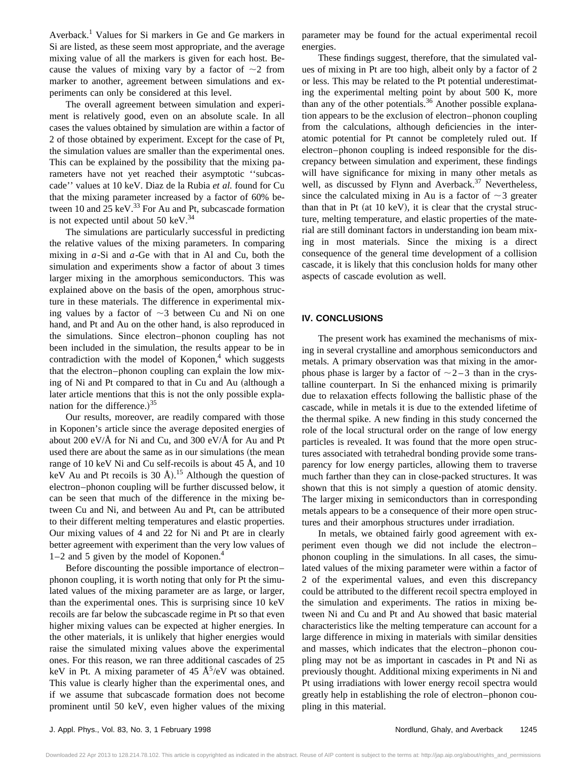Averback.<sup>1</sup> Values for Si markers in Ge and Ge markers in Si are listed, as these seem most appropriate, and the average mixing value of all the markers is given for each host. Because the values of mixing vary by a factor of  $\sim$ 2 from marker to another, agreement between simulations and experiments can only be considered at this level.

The overall agreement between simulation and experiment is relatively good, even on an absolute scale. In all cases the values obtained by simulation are within a factor of 2 of those obtained by experiment. Except for the case of Pt, the simulation values are smaller than the experimental ones. This can be explained by the possibility that the mixing parameters have not yet reached their asymptotic ''subcascade'' values at 10 keV. Diaz de la Rubia *et al.* found for Cu that the mixing parameter increased by a factor of 60% between 10 and 25 keV. $^{33}$  For Au and Pt, subcascade formation is not expected until about 50 keV. $34$ 

The simulations are particularly successful in predicting the relative values of the mixing parameters. In comparing mixing in *a*-Si and *a*-Ge with that in Al and Cu, both the simulation and experiments show a factor of about 3 times larger mixing in the amorphous semiconductors. This was explained above on the basis of the open, amorphous structure in these materials. The difference in experimental mixing values by a factor of  $\sim$ 3 between Cu and Ni on one hand, and Pt and Au on the other hand, is also reproduced in the simulations. Since electron–phonon coupling has not been included in the simulation, the results appear to be in contradiction with the model of Koponen, $4$  which suggests that the electron–phonon coupling can explain the low mixing of Ni and Pt compared to that in Cu and Au (although a later article mentions that this is not the only possible explanation for the difference.) $35$ 

Our results, moreover, are readily compared with those in Koponen's article since the average deposited energies of about 200 eV/ $\AA$  for Ni and Cu, and 300 eV/ $\AA$  for Au and Pt used there are about the same as in our simulations (the mean range of 10 keV Ni and Cu self-recoils is about 45 Å, and 10 keV Au and Pt recoils is 30 Å).<sup>15</sup> Although the question of electron–phonon coupling will be further discussed below, it can be seen that much of the difference in the mixing between Cu and Ni, and between Au and Pt, can be attributed to their different melting temperatures and elastic properties. Our mixing values of 4 and 22 for Ni and Pt are in clearly better agreement with experiment than the very low values of  $1-2$  and 5 given by the model of Koponen.<sup>4</sup>

Before discounting the possible importance of electron– phonon coupling, it is worth noting that only for Pt the simulated values of the mixing parameter are as large, or larger, than the experimental ones. This is surprising since 10 keV recoils are far below the subcascade regime in Pt so that even higher mixing values can be expected at higher energies. In the other materials, it is unlikely that higher energies would raise the simulated mixing values above the experimental ones. For this reason, we ran three additional cascades of 25 keV in Pt. A mixing parameter of  $45 \text{ Å}^5/\text{eV}$  was obtained. This value is clearly higher than the experimental ones, and if we assume that subcascade formation does not become prominent until 50 keV, even higher values of the mixing parameter may be found for the actual experimental recoil energies.

These findings suggest, therefore, that the simulated values of mixing in Pt are too high, albeit only by a factor of 2 or less. This may be related to the Pt potential underestimating the experimental melting point by about 500 K, more than any of the other potentials.<sup>36</sup> Another possible explanation appears to be the exclusion of electron–phonon coupling from the calculations, although deficiencies in the interatomic potential for Pt cannot be completely ruled out. If electron–phonon coupling is indeed responsible for the discrepancy between simulation and experiment, these findings will have significance for mixing in many other metals as well, as discussed by Flynn and Averback.<sup>37</sup> Nevertheless, since the calculated mixing in Au is a factor of  $\sim$  3 greater than that in Pt  $(at 10 \text{ keV})$ , it is clear that the crystal structure, melting temperature, and elastic properties of the material are still dominant factors in understanding ion beam mixing in most materials. Since the mixing is a direct consequence of the general time development of a collision cascade, it is likely that this conclusion holds for many other aspects of cascade evolution as well.

### **IV. CONCLUSIONS**

The present work has examined the mechanisms of mixing in several crystalline and amorphous semiconductors and metals. A primary observation was that mixing in the amorphous phase is larger by a factor of  $\sim$  2–3 than in the crystalline counterpart. In Si the enhanced mixing is primarily due to relaxation effects following the ballistic phase of the cascade, while in metals it is due to the extended lifetime of the thermal spike. A new finding in this study concerned the role of the local structural order on the range of low energy particles is revealed. It was found that the more open structures associated with tetrahedral bonding provide some transparency for low energy particles, allowing them to traverse much farther than they can in close-packed structures. It was shown that this is not simply a question of atomic density. The larger mixing in semiconductors than in corresponding metals appears to be a consequence of their more open structures and their amorphous structures under irradiation.

In metals, we obtained fairly good agreement with experiment even though we did not include the electron– phonon coupling in the simulations. In all cases, the simulated values of the mixing parameter were within a factor of 2 of the experimental values, and even this discrepancy could be attributed to the different recoil spectra employed in the simulation and experiments. The ratios in mixing between Ni and Cu and Pt and Au showed that basic material characteristics like the melting temperature can account for a large difference in mixing in materials with similar densities and masses, which indicates that the electron–phonon coupling may not be as important in cascades in Pt and Ni as previously thought. Additional mixing experiments in Ni and Pt using irradiations with lower energy recoil spectra would greatly help in establishing the role of electron–phonon coupling in this material.